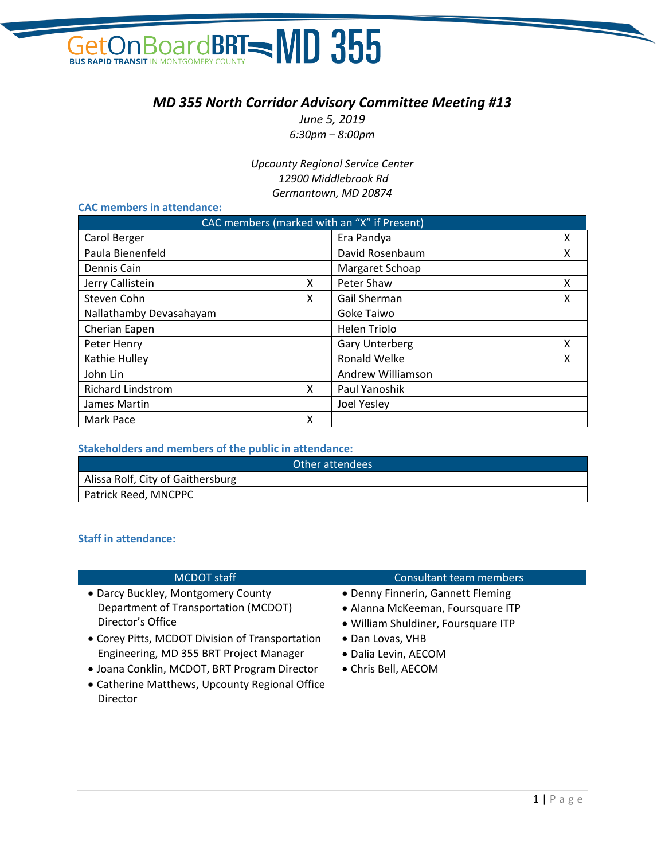### GetOn Board BRT - MD 355 **BUS RAPID TRANSIT IN**

#### *MD 355 North Corridor Advisory Committee Meeting #13*

*June 5, 2019 6:30pm – 8:00pm*

*Upcounty Regional Service Center 12900 Middlebrook Rd Germantown, MD 20874*

#### **CAC members in attendance:**

| CAC members (marked with an "X" if Present) |   |                       |   |
|---------------------------------------------|---|-----------------------|---|
| Carol Berger                                |   | Era Pandya            | x |
| Paula Bienenfeld                            |   | David Rosenbaum       | x |
| Dennis Cain                                 |   | Margaret Schoap       |   |
| Jerry Callistein                            | X | Peter Shaw            | X |
| Steven Cohn                                 | x | Gail Sherman          | х |
| Nallathamby Devasahayam                     |   | Goke Taiwo            |   |
| Cherian Eapen                               |   | <b>Helen Triolo</b>   |   |
| Peter Henry                                 |   | <b>Gary Unterberg</b> | x |
| Kathie Hulley                               |   | Ronald Welke          | x |
| John Lin                                    |   | Andrew Williamson     |   |
| <b>Richard Lindstrom</b>                    | x | Paul Yanoshik         |   |
| James Martin                                |   | Joel Yesley           |   |
| Mark Pace                                   | x |                       |   |

#### **Stakeholders and members of the public in attendance:**

| Other attendees                   |  |
|-----------------------------------|--|
| Alissa Rolf, City of Gaithersburg |  |
| Patrick Reed, MNCPPC              |  |

#### **Staff in attendance:**

| <b>MCDOT</b> staff                              | Consultant team members             |
|-------------------------------------------------|-------------------------------------|
| • Darcy Buckley, Montgomery County              | • Denny Finnerin, Gannett Fleming   |
| Department of Transportation (MCDOT)            | • Alanna McKeeman, Foursquare ITP   |
| Director's Office                               | · William Shuldiner, Foursquare ITP |
| • Corey Pitts, MCDOT Division of Transportation | • Dan Lovas, VHB                    |
| Engineering, MD 355 BRT Project Manager         | · Dalia Levin, AECOM                |
| · Joana Conklin, MCDOT, BRT Program Director    | • Chris Bell, AECOM                 |

• Catherine Matthews, Upcounty Regional Office Director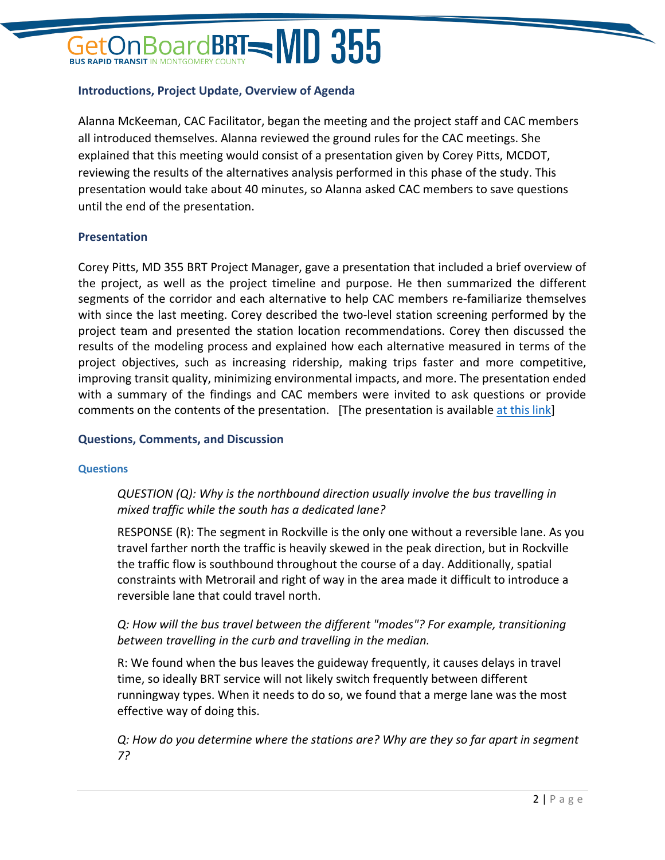## $\beta$ oardBRT $=$ MD 355

#### **Introductions, Project Update, Overview of Agenda**

Alanna McKeeman, CAC Facilitator, began the meeting and the project staff and CAC members all introduced themselves. Alanna reviewed the ground rules for the CAC meetings. She explained that this meeting would consist of a presentation given by Corey Pitts, MCDOT, reviewing the results of the alternatives analysis performed in this phase of the study. This presentation would take about 40 minutes, so Alanna asked CAC members to save questions until the end of the presentation.

#### **Presentation**

Corey Pitts, MD 355 BRT Project Manager, gave a presentation that included a brief overview of the project, as well as the project timeline and purpose. He then summarized the different segments of the corridor and each alternative to help CAC members re-familiarize themselves with since the last meeting. Corey described the two-level station screening performed by the project team and presented the station location recommendations. Corey then discussed the results of the modeling process and explained how each alternative measured in terms of the project objectives, such as increasing ridership, making trips faster and more competitive, improving transit quality, minimizing environmental impacts, and more. The presentation ended with a summary of the findings and CAC members were invited to ask questions or provide comments on the contents of the presentation. [The presentation is available [at this link\]](https://www.ridetheflash.com/wp-content/uploads/2019/06/MD355_CAC13_Presentation-web.pdf)

#### **Questions, Comments, and Discussion**

#### **Questions**

#### *QUESTION (Q): Why is the northbound direction usually involve the bus travelling in mixed traffic while the south has a dedicated lane?*

RESPONSE (R): The segment in Rockville is the only one without a reversible lane. As you travel farther north the traffic is heavily skewed in the peak direction, but in Rockville the traffic flow is southbound throughout the course of a day. Additionally, spatial constraints with Metrorail and right of way in the area made it difficult to introduce a reversible lane that could travel north.

#### *Q: How will the bus travel between the different "modes"? For example, transitioning between travelling in the curb and travelling in the median.*

R: We found when the bus leaves the guideway frequently, it causes delays in travel time, so ideally BRT service will not likely switch frequently between different runningway types. When it needs to do so, we found that a merge lane was the most effective way of doing this.

*Q: How do you determine where the stations are? Why are they so far apart in segment 7?*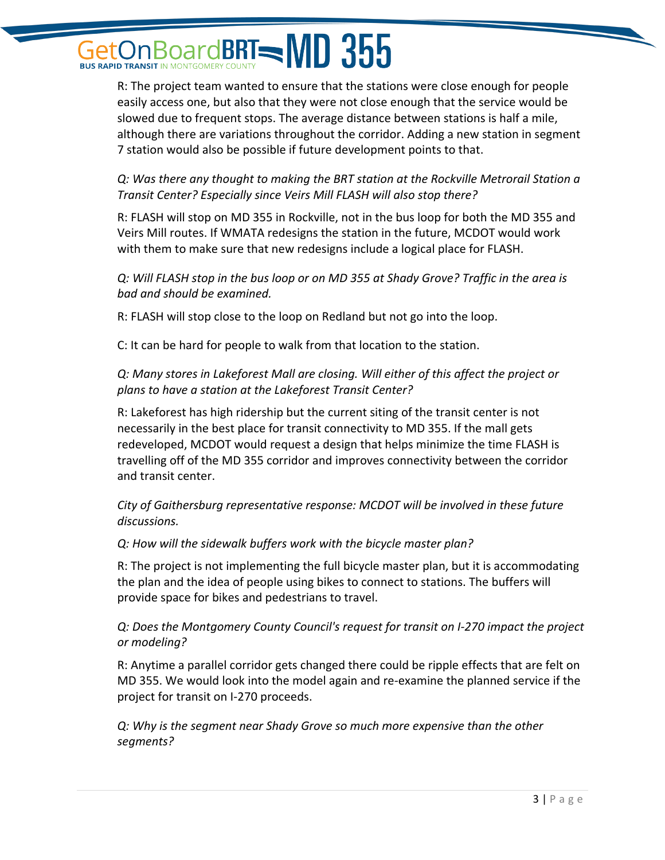### pardBRT=MD 355 **BUS RAPID TRANSIT IN MONTGOMER**

R: The project team wanted to ensure that the stations were close enough for people easily access one, but also that they were not close enough that the service would be slowed due to frequent stops. The average distance between stations is half a mile, although there are variations throughout the corridor. Adding a new station in segment 7 station would also be possible if future development points to that.

*Q: Was there any thought to making the BRT station at the Rockville Metrorail Station a Transit Center? Especially since Veirs Mill FLASH will also stop there?*

R: FLASH will stop on MD 355 in Rockville, not in the bus loop for both the MD 355 and Veirs Mill routes. If WMATA redesigns the station in the future, MCDOT would work with them to make sure that new redesigns include a logical place for FLASH.

*Q: Will FLASH stop in the bus loop or on MD 355 at Shady Grove? Traffic in the area is bad and should be examined.* 

R: FLASH will stop close to the loop on Redland but not go into the loop.

C: It can be hard for people to walk from that location to the station.

*Q: Many stores in Lakeforest Mall are closing. Will either of this affect the project or plans to have a station at the Lakeforest Transit Center?*

R: Lakeforest has high ridership but the current siting of the transit center is not necessarily in the best place for transit connectivity to MD 355. If the mall gets redeveloped, MCDOT would request a design that helps minimize the time FLASH is travelling off of the MD 355 corridor and improves connectivity between the corridor and transit center.

*City of Gaithersburg representative response: MCDOT will be involved in these future discussions.* 

*Q: How will the sidewalk buffers work with the bicycle master plan?*

R: The project is not implementing the full bicycle master plan, but it is accommodating the plan and the idea of people using bikes to connect to stations. The buffers will provide space for bikes and pedestrians to travel.

*Q: Does the Montgomery County Council's request for transit on I-270 impact the project or modeling?*

R: Anytime a parallel corridor gets changed there could be ripple effects that are felt on MD 355. We would look into the model again and re-examine the planned service if the project for transit on I-270 proceeds.

*Q: Why is the segment near Shady Grove so much more expensive than the other segments?*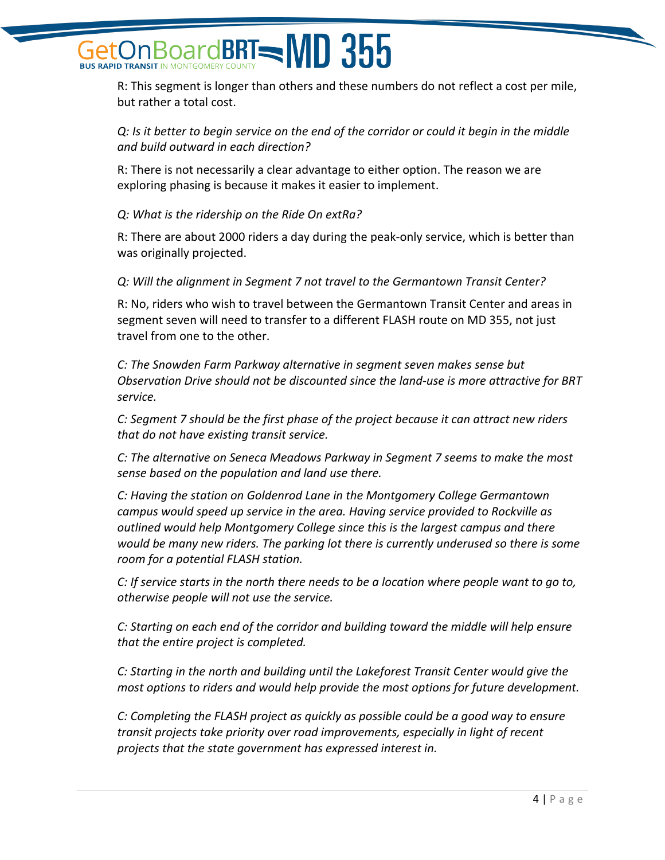## pardBRT=MD 355

R: This segment is longer than others and these numbers do not reflect a cost per mile, but rather a total cost.

*Q: Is it better to begin service on the end of the corridor or could it begin in the middle and build outward in each direction?*

R: There is not necessarily a clear advantage to either option. The reason we are exploring phasing is because it makes it easier to implement.

*Q: What is the ridership on the Ride On extRa?*

R: There are about 2000 riders a day during the peak-only service, which is better than was originally projected.

*Q: Will the alignment in Segment 7 not travel to the Germantown Transit Center?*

R: No, riders who wish to travel between the Germantown Transit Center and areas in segment seven will need to transfer to a different FLASH route on MD 355, not just travel from one to the other.

*C: The Snowden Farm Parkway alternative in segment seven makes sense but Observation Drive should not be discounted since the land-use is more attractive for BRT service.* 

*C: Segment 7 should be the first phase of the project because it can attract new riders that do not have existing transit service.* 

*C: The alternative on Seneca Meadows Parkway in Segment 7 seems to make the most sense based on the population and land use there.* 

*C: Having the station on Goldenrod Lane in the Montgomery College Germantown campus would speed up service in the area. Having service provided to Rockville as outlined would help Montgomery College since this is the largest campus and there would be many new riders. The parking lot there is currently underused so there is some room for a potential FLASH station.* 

*C: If service starts in the north there needs to be a location where people want to go to, otherwise people will not use the service.* 

*C: Starting on each end of the corridor and building toward the middle will help ensure that the entire project is completed.* 

*C: Starting in the north and building until the Lakeforest Transit Center would give the most options to riders and would help provide the most options for future development.* 

*C: Completing the FLASH project as quickly as possible could be a good way to ensure transit projects take priority over road improvements, especially in light of recent projects that the state government has expressed interest in.*